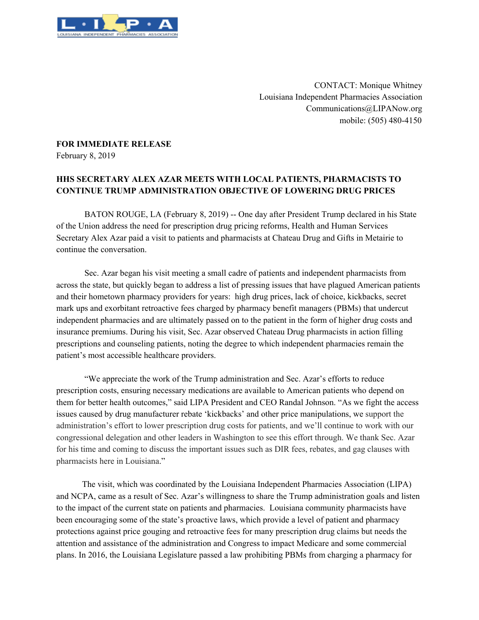

CONTACT: Monique Whitney Louisiana Independent Pharmacies Association Communications@LIPANow.org mobile: (505) 480-4150

## **FOR IMMEDIATE RELEASE**

February 8, 2019

## **HHS SECRETARY ALEX AZAR MEETS WITH LOCAL PATIENTS, PHARMACISTS TO CONTINUE TRUMP ADMINISTRATION OBJECTIVE OF LOWERING DRUG PRICES**

BATON ROUGE, LA (February 8, 2019) -- One day after President Trump declared in his State of the Union address the need for prescription drug pricing reforms, Health and Human Services Secretary Alex Azar paid a visit to patients and pharmacists at Chateau Drug and Gifts in Metairie to continue the conversation.

Sec. Azar began his visit meeting a small cadre of patients and independent pharmacists from across the state, but quickly began to address a list of pressing issues that have plagued American patients and their hometown pharmacy providers for years: high drug prices, lack of choice, kickbacks, secret mark ups and exorbitant retroactive fees charged by pharmacy benefit managers (PBMs) that undercut independent pharmacies and are ultimately passed on to the patient in the form of higher drug costs and insurance premiums. During his visit, Sec. Azar observed Chateau Drug pharmacists in action filling prescriptions and counseling patients, noting the degree to which independent pharmacies remain the patient's most accessible healthcare providers.

"We appreciate the work of the Trump administration and Sec. Azar's efforts to reduce prescription costs, ensuring necessary medications are available to American patients who depend on them for better health outcomes," said LIPA President and CEO Randal Johnson. "As we fight the access issues caused by drug manufacturer rebate 'kickbacks' and other price manipulations, we support the administration's effort to lower prescription drug costs for patients, and we'll continue to work with our congressional delegation and other leaders in Washington to see this effort through. We thank Sec. Azar for his time and coming to discuss the important issues such as DIR fees, rebates, and gag clauses with pharmacists here in Louisiana."

The visit, which was coordinated by the Louisiana Independent Pharmacies Association (LIPA) and NCPA, came as a result of Sec. Azar's willingness to share the Trump administration goals and listen to the impact of the current state on patients and pharmacies. Louisiana community pharmacists have been encouraging some of the state's proactive laws, which provide a level of patient and pharmacy protections against price gouging and retroactive fees for many prescription drug claims but needs the attention and assistance of the administration and Congress to impact Medicare and some commercial plans. In 2016, the Louisiana Legislature passed a law prohibiting PBMs from charging a pharmacy for